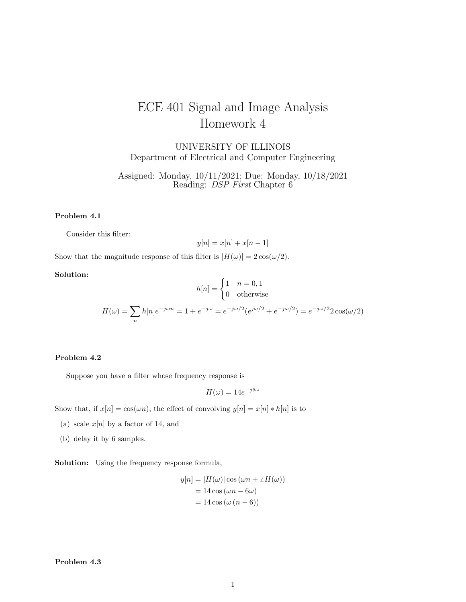# ECE 401 Signal and Image Analysis Homework 4

UNIVERSITY OF ILLINOIS Department of Electrical and Computer Engineering

Assigned: Monday, 10/11/2021; Due: Monday, 10/18/2021 Reading: *DSP First* Chapter 6

#### Problem 4.1

Consider this filter:

$$
y[n] = x[n] + x[n-1]
$$

Show that the magnitude response of this filter is  $|H(\omega)| = 2 \cos(\omega/2)$ .

## Solution:

$$
h[n] = \begin{cases} 1 & n = 0, 1 \\ 0 & \text{otherwise} \end{cases}
$$

$$
H(\omega) = \sum_{n} h[n]e^{-j\omega n} = 1 + e^{-j\omega} = e^{-j\omega/2}(e^{j\omega/2} + e^{-j\omega/2}) = e^{-j\omega/2}2\cos(\omega/2)
$$

## Problem 4.2

Suppose you have a filter whose frequency response is

$$
H(\omega) = 14e^{-j6\omega}
$$

Show that, if  $x[n] = \cos(\omega n)$ , the effect of convolving  $y[n] = x[n] * h[n]$  is to

- (a) scale  $x[n]$  by a factor of 14, and
- (b) delay it by 6 samples.

Solution: Using the frequency response formula,

$$
y[n] = |H(\omega)| \cos(\omega n + \angle H(\omega))
$$
  
= 14 cos (\omega n - 6\omega)  
= 14 cos (\omega (n - 6))